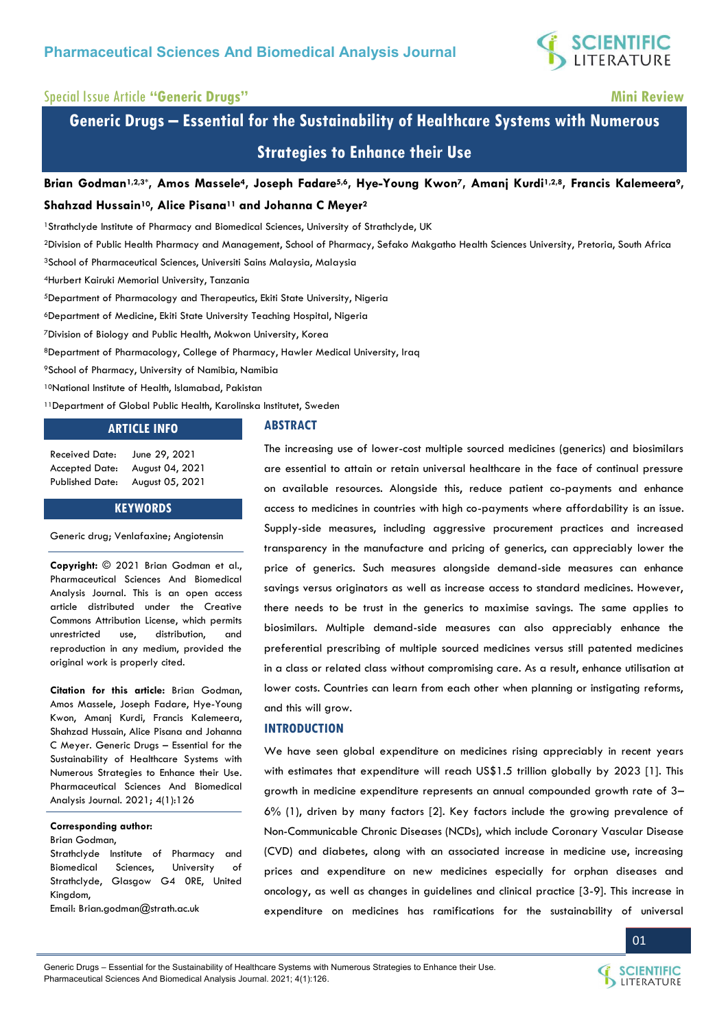

#### Special Issue Article **"Generic Drugs" Mini Review**

### **Generic Drugs – Essential for the Sustainability of Healthcare Systems with Numerous Strategies to Enhance their Use**

**Brian Godman1,2,3\*, Amos Massele4, Joseph Fadare5,6, Hye-Young Kwon7, Amanj Kurdi1,2,8, Francis Kalemeera9, Shahzad Hussain10, Alice Pisana11 and Johanna C Meyer<sup>2</sup>**

<sup>1</sup>Strathclyde Institute of Pharmacy and Biomedical Sciences, University of Strathclyde, UK

<sup>2</sup>Division of Public Health Pharmacy and Management, School of Pharmacy, Sefako Makgatho Health Sciences University, Pretoria, South Africa <sup>3</sup>School of Pharmaceutical Sciences, Universiti Sains Malaysia, Malaysia

<sup>4</sup>Hurbert Kairuki Memorial University, Tanzania

<sup>5</sup>Department of Pharmacology and Therapeutics, Ekiti State University, Nigeria

<sup>6</sup>Department of Medicine, Ekiti State University Teaching Hospital, Nigeria

<sup>7</sup>Division of Biology and Public Health, Mokwon University, Korea

<sup>8</sup>Department of Pharmacology, College of Pharmacy, Hawler Medical University, Iraq

<sup>9</sup>School of Pharmacy, University of Namibia, Namibia

<sup>10</sup>National Institute of Health, Islamabad, Pakistan

<sup>11</sup>Department of Global Public Health, Karolinska Institutet, Sweden

#### **ARTICLE INFO**

Received Date: June 29, 2021 Accepted Date: August 04, 2021 Published Date: August 05, 2021

#### **KEYWORDS**

Generic drug; Venlafaxine; Angiotensin

**Copyright:** © 2021 Brian Godman et al., Pharmaceutical Sciences And Biomedical Analysis Journal. This is an open access article distributed under the Creative Commons Attribution License, which permits unrestricted use, distribution, and reproduction in any medium, provided the original work is properly cited.

**Citation for this article:** Brian Godman, Amos Massele, Joseph Fadare, Hye-Young Kwon, Amanj Kurdi, Francis Kalemeera, Shahzad Hussain, Alice Pisana and Johanna C Meyer. Generic Drugs – Essential for the Sustainability of Healthcare Systems with Numerous Strategies to Enhance their Use. Pharmaceutical Sciences And Biomedical Analysis Journal. 2021; 4(1):126

#### **Corresponding author:**

Brian Godman,

Strathclyde Institute of Pharmacy and Biomedical Sciences, University of Strathclyde, Glasgow G4 0RE, United Kingdom,

Email: [Brian.godman@strath.ac.uk](mailto:Brian.godman@strath.ac.uk) 

#### **ABSTRACT**

The increasing use of lower-cost multiple sourced medicines (generics) and biosimilars are essential to attain or retain universal healthcare in the face of continual pressure on available resources. Alongside this, reduce patient co-payments and enhance access to medicines in countries with high co-payments where affordability is an issue. Supply-side measures, including aggressive procurement practices and increased transparency in the manufacture and pricing of generics, can appreciably lower the price of generics. Such measures alongside demand-side measures can enhance savings versus originators as well as increase access to standard medicines. However, there needs to be trust in the generics to maximise savings. The same applies to biosimilars. Multiple demand-side measures can also appreciably enhance the preferential prescribing of multiple sourced medicines versus still patented medicines in a class or related class without compromising care. As a result, enhance utilisation at lower costs. Countries can learn from each other when planning or instigating reforms, and this will grow.

#### **INTRODUCTION**

We have seen global expenditure on medicines rising appreciably in recent years with estimates that expenditure will reach US\$1.5 trillion globally by 2023 [1]. This growth in medicine expenditure represents an annual compounded growth rate of 3– 6% (1), driven by many factors [2]. Key factors include the growing prevalence of Non-Communicable Chronic Diseases (NCDs), which include Coronary Vascular Disease (CVD) and diabetes, along with an associated increase in medicine use, increasing prices and expenditure on new medicines especially for orphan diseases and oncology, as well as changes in guidelines and clinical practice [3-9]. This increase in expenditure on medicines has ramifications for the sustainability of universal





LITERATURE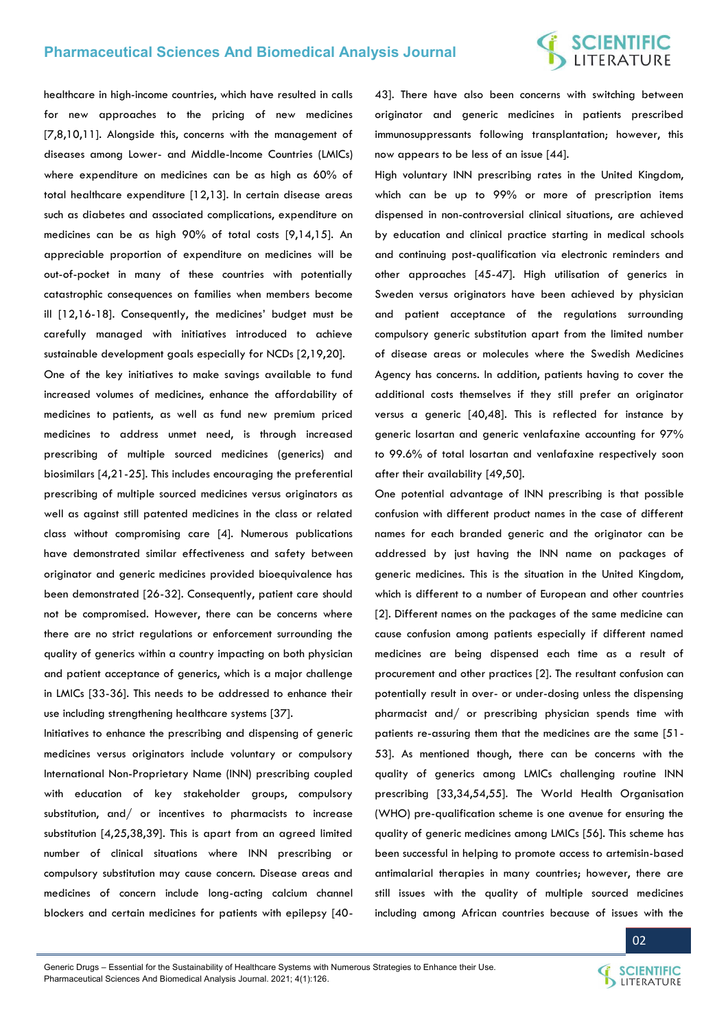## **SCIENTIFIC**<br>LITERATURE

healthcare in high-income countries, which have resulted in calls for new approaches to the pricing of new medicines [7,8,10,11]. Alongside this, concerns with the management of diseases among Lower- and Middle-Income Countries (LMICs) where expenditure on medicines can be as high as 60% of total healthcare expenditure [12,13]. In certain disease areas such as diabetes and associated complications, expenditure on medicines can be as high 90% of total costs [9,14,15]. An appreciable proportion of expenditure on medicines will be out-of-pocket in many of these countries with potentially catastrophic consequences on families when members become ill [12,16-18]. Consequently, the medicines' budget must be carefully managed with initiatives introduced to achieve sustainable development goals especially for NCDs [2,19,20].

One of the key initiatives to make savings available to fund increased volumes of medicines, enhance the affordability of medicines to patients, as well as fund new premium priced medicines to address unmet need, is through increased prescribing of multiple sourced medicines (generics) and biosimilars [4,21-25]. This includes encouraging the preferential prescribing of multiple sourced medicines versus originators as well as against still patented medicines in the class or related class without compromising care [4]. Numerous publications have demonstrated similar effectiveness and safety between originator and generic medicines provided bioequivalence has been demonstrated [26-32]. Consequently, patient care should not be compromised. However, there can be concerns where there are no strict regulations or enforcement surrounding the quality of generics within a country impacting on both physician and patient acceptance of generics, which is a major challenge in LMICs [33-36]. This needs to be addressed to enhance their use including strengthening healthcare systems [37].

Initiatives to enhance the prescribing and dispensing of generic medicines versus originators include voluntary or compulsory International Non-Proprietary Name (INN) prescribing coupled with education of key stakeholder groups, compulsory substitution, and/ or incentives to pharmacists to increase substitution [4,25,38,39]. This is apart from an agreed limited number of clinical situations where INN prescribing or compulsory substitution may cause concern. Disease areas and medicines of concern include long-acting calcium channel blockers and certain medicines for patients with epilepsy [40-

43]. There have also been concerns with switching between originator and generic medicines in patients prescribed immunosuppressants following transplantation; however, this now appears to be less of an issue [44].

High voluntary INN prescribing rates in the United Kingdom, which can be up to 99% or more of prescription items dispensed in non-controversial clinical situations, are achieved by education and clinical practice starting in medical schools and continuing post-qualification via electronic reminders and other approaches [45-47]. High utilisation of generics in Sweden versus originators have been achieved by physician and patient acceptance of the regulations surrounding compulsory generic substitution apart from the limited number of disease areas or molecules where the Swedish Medicines Agency has concerns. In addition, patients having to cover the additional costs themselves if they still prefer an originator versus a generic [40,48]. This is reflected for instance by generic losartan and generic venlafaxine accounting for 97% to 99.6% of total losartan and venlafaxine respectively soon after their availability [49,50].

One potential advantage of INN prescribing is that possible confusion with different product names in the case of different names for each branded generic and the originator can be addressed by just having the INN name on packages of generic medicines. This is the situation in the United Kingdom, which is different to a number of European and other countries [2]. Different names on the packages of the same medicine can cause confusion among patients especially if different named medicines are being dispensed each time as a result of procurement and other practices [2]. The resultant confusion can potentially result in over- or under-dosing unless the dispensing pharmacist and/ or prescribing physician spends time with patients re-assuring them that the medicines are the same [51- 53]. As mentioned though, there can be concerns with the quality of generics among LMICs challenging routine INN prescribing [33,34,54,55]. The World Health Organisation (WHO) pre-qualification scheme is one avenue for ensuring the quality of generic medicines among LMICs [56]. This scheme has been successful in helping to promote access to artemisin-based antimalarial therapies in many countries; however, there are still issues with the quality of multiple sourced medicines including among African countries because of issues with the



SCIENTIFIC **SCIENTIFIC**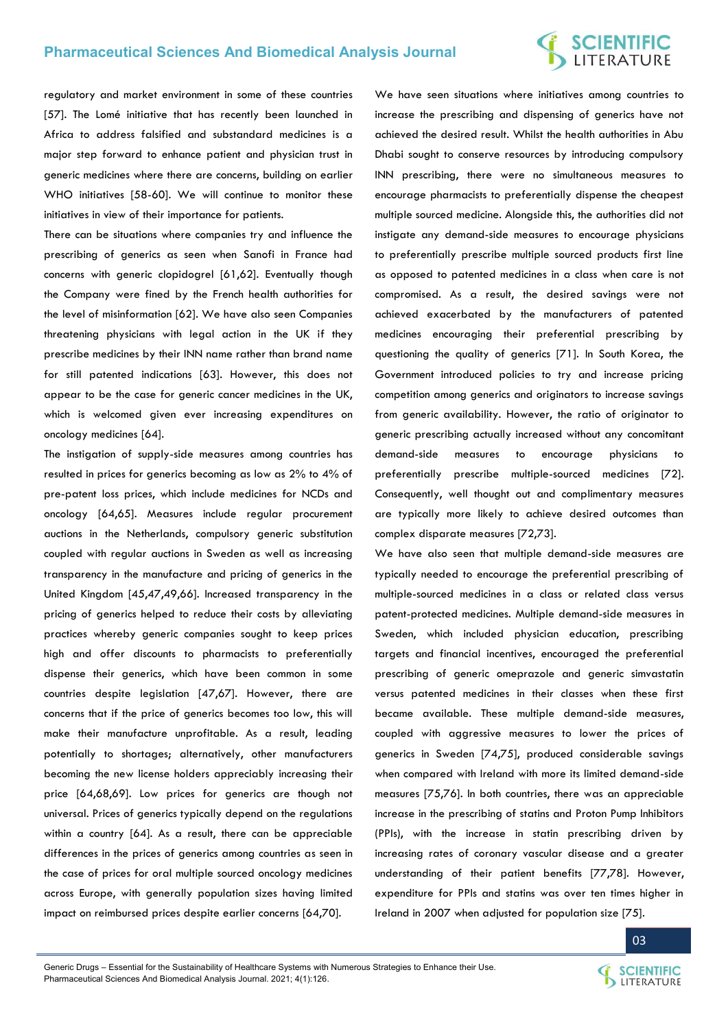# **SCIENTIFIC**<br>LITERATURE

regulatory and market environment in some of these countries [57]. The Lomé initiative that has recently been launched in Africa to address falsified and substandard medicines is a major step forward to enhance patient and physician trust in generic medicines where there are concerns, building on earlier WHO initiatives [58-60]. We will continue to monitor these initiatives in view of their importance for patients.

There can be situations where companies try and influence the prescribing of generics as seen when Sanofi in France had concerns with generic clopidogrel [61,62]. Eventually though the Company were fined by the French health authorities for the level of misinformation [62]. We have also seen Companies threatening physicians with legal action in the UK if they prescribe medicines by their INN name rather than brand name for still patented indications [63]. However, this does not appear to be the case for generic cancer medicines in the UK, which is welcomed given ever increasing expenditures on oncology medicines [64].

The instigation of supply-side measures among countries has resulted in prices for generics becoming as low as 2% to 4% of pre-patent loss prices, which include medicines for NCDs and oncology [64,65]. Measures include regular procurement auctions in the Netherlands, compulsory generic substitution coupled with regular auctions in Sweden as well as increasing transparency in the manufacture and pricing of generics in the United Kingdom [45,47,49,66]. Increased transparency in the pricing of generics helped to reduce their costs by alleviating practices whereby generic companies sought to keep prices high and offer discounts to pharmacists to preferentially dispense their generics, which have been common in some countries despite legislation [47,67]. However, there are concerns that if the price of generics becomes too low, this will make their manufacture unprofitable. As a result, leading potentially to shortages; alternatively, other manufacturers becoming the new license holders appreciably increasing their price [64,68,69]. Low prices for generics are though not universal. Prices of generics typically depend on the regulations within a country [64]. As a result, there can be appreciable differences in the prices of generics among countries as seen in the case of prices for oral multiple sourced oncology medicines across Europe, with generally population sizes having limited impact on reimbursed prices despite earlier concerns [64,70].

We have seen situations where initiatives among countries to increase the prescribing and dispensing of generics have not achieved the desired result. Whilst the health authorities in Abu Dhabi sought to conserve resources by introducing compulsory INN prescribing, there were no simultaneous measures to encourage pharmacists to preferentially dispense the cheapest multiple sourced medicine. Alongside this, the authorities did not instigate any demand-side measures to encourage physicians to preferentially prescribe multiple sourced products first line as opposed to patented medicines in a class when care is not compromised. As a result, the desired savings were not achieved exacerbated by the manufacturers of patented medicines encouraging their preferential prescribing by questioning the quality of generics [71]. In South Korea, the Government introduced policies to try and increase pricing competition among generics and originators to increase savings from generic availability. However, the ratio of originator to generic prescribing actually increased without any concomitant demand-side measures to encourage physicians to preferentially prescribe multiple-sourced medicines [72]. Consequently, well thought out and complimentary measures are typically more likely to achieve desired outcomes than complex disparate measures [72,73].

We have also seen that multiple demand-side measures are typically needed to encourage the preferential prescribing of multiple-sourced medicines in a class or related class versus patent-protected medicines. Multiple demand-side measures in Sweden, which included physician education, prescribing targets and financial incentives, encouraged the preferential prescribing of generic omeprazole and generic simvastatin versus patented medicines in their classes when these first became available. These multiple demand-side measures, coupled with aggressive measures to lower the prices of generics in Sweden [74,75], produced considerable savings when compared with Ireland with more its limited demand-side measures [75,76]. In both countries, there was an appreciable increase in the prescribing of statins and Proton Pump Inhibitors (PPIs), with the increase in statin prescribing driven by increasing rates of coronary vascular disease and a greater understanding of their patient benefits [77,78]. However, expenditure for PPIs and statins was over ten times higher in Ireland in 2007 when adjusted for population size [75].

03

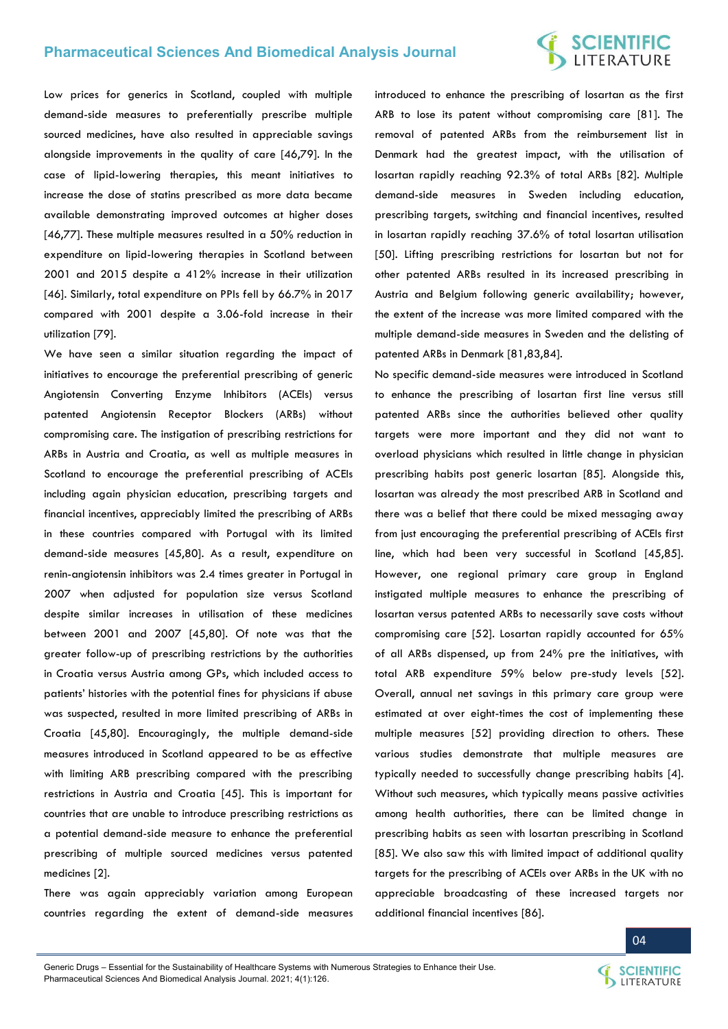### **SCIENTIFIC**<br>LITERATURE

Low prices for generics in Scotland, coupled with multiple demand-side measures to preferentially prescribe multiple sourced medicines, have also resulted in appreciable savings alongside improvements in the quality of care [46,79]. In the case of lipid-lowering therapies, this meant initiatives to increase the dose of statins prescribed as more data became available demonstrating improved outcomes at higher doses [46,77]. These multiple measures resulted in a 50% reduction in expenditure on lipid-lowering therapies in Scotland between 2001 and 2015 despite a 412% increase in their utilization [46]. Similarly, total expenditure on PPIs fell by 66.7% in 2017 compared with 2001 despite a 3.06-fold increase in their utilization [79].

We have seen a similar situation regarding the impact of initiatives to encourage the preferential prescribing of generic Angiotensin Converting Enzyme Inhibitors (ACEIs) versus patented Angiotensin Receptor Blockers (ARBs) without compromising care. The instigation of prescribing restrictions for ARBs in Austria and Croatia, as well as multiple measures in Scotland to encourage the preferential prescribing of ACEIs including again physician education, prescribing targets and financial incentives, appreciably limited the prescribing of ARBs in these countries compared with Portugal with its limited demand-side measures [45,80]. As a result, expenditure on renin-angiotensin inhibitors was 2.4 times greater in Portugal in 2007 when adjusted for population size versus Scotland despite similar increases in utilisation of these medicines between 2001 and 2007 [45,80]. Of note was that the greater follow-up of prescribing restrictions by the authorities in Croatia versus Austria among GPs, which included access to patients' histories with the potential fines for physicians if abuse was suspected, resulted in more limited prescribing of ARBs in Croatia [45,80]. Encouragingly, the multiple demand-side measures introduced in Scotland appeared to be as effective with limiting ARB prescribing compared with the prescribing restrictions in Austria and Croatia [45]. This is important for countries that are unable to introduce prescribing restrictions as a potential demand-side measure to enhance the preferential prescribing of multiple sourced medicines versus patented medicines [2].

There was again appreciably variation among European countries regarding the extent of demand-side measures

introduced to enhance the prescribing of losartan as the first ARB to lose its patent without compromising care [81]. The removal of patented ARBs from the reimbursement list in Denmark had the greatest impact, with the utilisation of losartan rapidly reaching 92.3% of total ARBs [82]. Multiple demand-side measures in Sweden including education, prescribing targets, switching and financial incentives, resulted in losartan rapidly reaching 37.6% of total losartan utilisation [50]. Lifting prescribing restrictions for losartan but not for other patented ARBs resulted in its increased prescribing in Austria and Belgium following generic availability; however, the extent of the increase was more limited compared with the multiple demand-side measures in Sweden and the delisting of patented ARBs in Denmark [81,83,84].

No specific demand-side measures were introduced in Scotland to enhance the prescribing of losartan first line versus still patented ARBs since the authorities believed other quality targets were more important and they did not want to overload physicians which resulted in little change in physician prescribing habits post generic losartan [85]. Alongside this, losartan was already the most prescribed ARB in Scotland and there was a belief that there could be mixed messaging away from just encouraging the preferential prescribing of ACEIs first line, which had been very successful in Scotland [45,85]. However, one regional primary care group in England instigated multiple measures to enhance the prescribing of losartan versus patented ARBs to necessarily save costs without compromising care [52]. Losartan rapidly accounted for 65% of all ARBs dispensed, up from 24% pre the initiatives, with total ARB expenditure 59% below pre-study levels [52]. Overall, annual net savings in this primary care group were estimated at over eight-times the cost of implementing these multiple measures [52] providing direction to others. These various studies demonstrate that multiple measures are typically needed to successfully change prescribing habits [4]. Without such measures, which typically means passive activities among health authorities, there can be limited change in prescribing habits as seen with losartan prescribing in Scotland [85]. We also saw this with limited impact of additional quality targets for the prescribing of ACEIs over ARBs in the UK with no appreciable broadcasting of these increased targets nor additional financial incentives [86].



04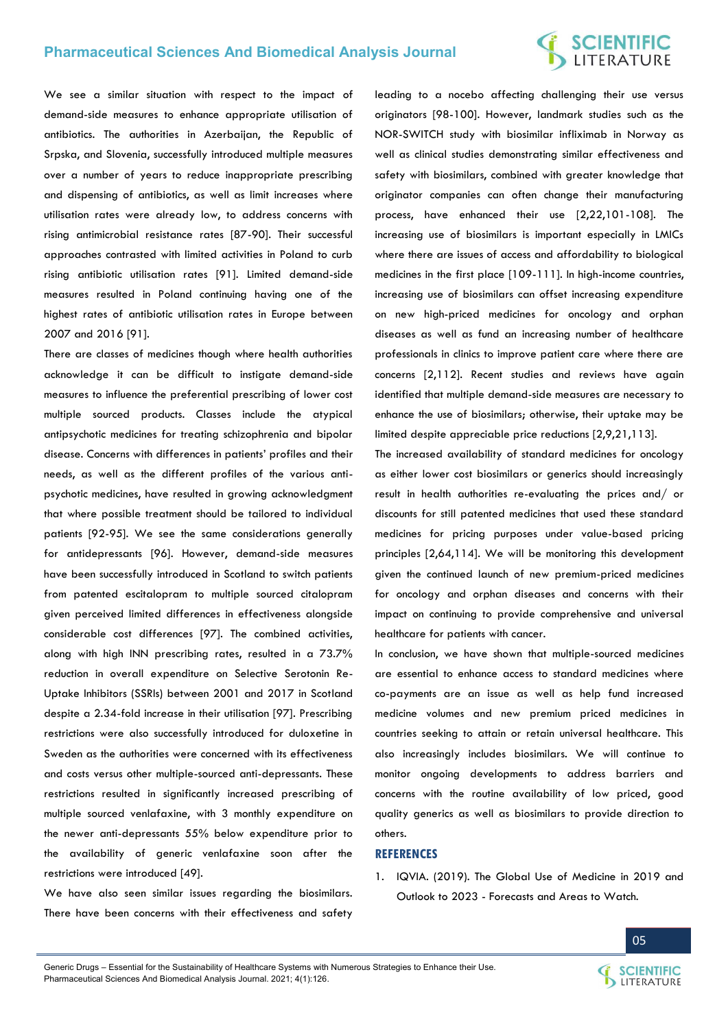### **SCIENTIFIC**<br>LITERATURE

We see a similar situation with respect to the impact of demand-side measures to enhance appropriate utilisation of antibiotics. The authorities in Azerbaijan, the Republic of Srpska, and Slovenia, successfully introduced multiple measures over a number of years to reduce inappropriate prescribing and dispensing of antibiotics, as well as limit increases where utilisation rates were already low, to address concerns with rising antimicrobial resistance rates [87-90]. Their successful approaches contrasted with limited activities in Poland to curb rising antibiotic utilisation rates [91]. Limited demand-side measures resulted in Poland continuing having one of the highest rates of antibiotic utilisation rates in Europe between 2007 and 2016 [91].

There are classes of medicines though where health authorities acknowledge it can be difficult to instigate demand-side measures to influence the preferential prescribing of lower cost multiple sourced products. Classes include the atypical antipsychotic medicines for treating schizophrenia and bipolar disease. Concerns with differences in patients' profiles and their needs, as well as the different profiles of the various antipsychotic medicines, have resulted in growing acknowledgment that where possible treatment should be tailored to individual patients [92-95]. We see the same considerations generally for antidepressants [96]. However, demand-side measures have been successfully introduced in Scotland to switch patients from patented escitalopram to multiple sourced citalopram given perceived limited differences in effectiveness alongside considerable cost differences [97]. The combined activities, along with high INN prescribing rates, resulted in a 73.7% reduction in overall expenditure on Selective Serotonin Re-Uptake Inhibitors (SSRIs) between 2001 and 2017 in Scotland despite a 2.34-fold increase in their utilisation [97]. Prescribing restrictions were also successfully introduced for duloxetine in Sweden as the authorities were concerned with its effectiveness and costs versus other multiple-sourced anti-depressants. These restrictions resulted in significantly increased prescribing of multiple sourced venlafaxine, with 3 monthly expenditure on the newer anti-depressants 55% below expenditure prior to the availability of generic venlafaxine soon after the restrictions were introduced [49].

We have also seen similar issues regarding the biosimilars. There have been concerns with their effectiveness and safety

leading to a nocebo affecting challenging their use versus originators [98-100]. However, landmark studies such as the NOR-SWITCH study with biosimilar infliximab in Norway as well as clinical studies demonstrating similar effectiveness and safety with biosimilars, combined with greater knowledge that originator companies can often change their manufacturing process, have enhanced their use [2,22,101-108]. The increasing use of biosimilars is important especially in LMICs where there are issues of access and affordability to biological medicines in the first place [109-111]. In high-income countries, increasing use of biosimilars can offset increasing expenditure on new high-priced medicines for oncology and orphan diseases as well as fund an increasing number of healthcare professionals in clinics to improve patient care where there are concerns [2,112]. Recent studies and reviews have again identified that multiple demand-side measures are necessary to enhance the use of biosimilars; otherwise, their uptake may be limited despite appreciable price reductions [2,9,21,113].

The increased availability of standard medicines for oncology as either lower cost biosimilars or generics should increasingly result in health authorities re-evaluating the prices and/ or discounts for still patented medicines that used these standard medicines for pricing purposes under value-based pricing principles [2,64,114]. We will be monitoring this development given the continued launch of new premium-priced medicines for oncology and orphan diseases and concerns with their impact on continuing to provide comprehensive and universal healthcare for patients with cancer.

In conclusion, we have shown that multiple-sourced medicines are essential to enhance access to standard medicines where co-payments are an issue as well as help fund increased medicine volumes and new premium priced medicines in countries seeking to attain or retain universal healthcare. This also increasingly includes biosimilars. We will continue to monitor ongoing developments to address barriers and concerns with the routine availability of low priced, good quality generics as well as biosimilars to provide direction to others.

#### **REFERENCES**

1. [IQVIA. \(2019\). The Global Use of Medicine in 2019 and](https://www.iqvia.com/insights/the-iqvia-institute/reports/the-global-use-of-medicine-in-2019-and-outlook-to-2023)  [Outlook to 2023 - Forecasts and Areas to Watch.](https://www.iqvia.com/insights/the-iqvia-institute/reports/the-global-use-of-medicine-in-2019-and-outlook-to-2023) 

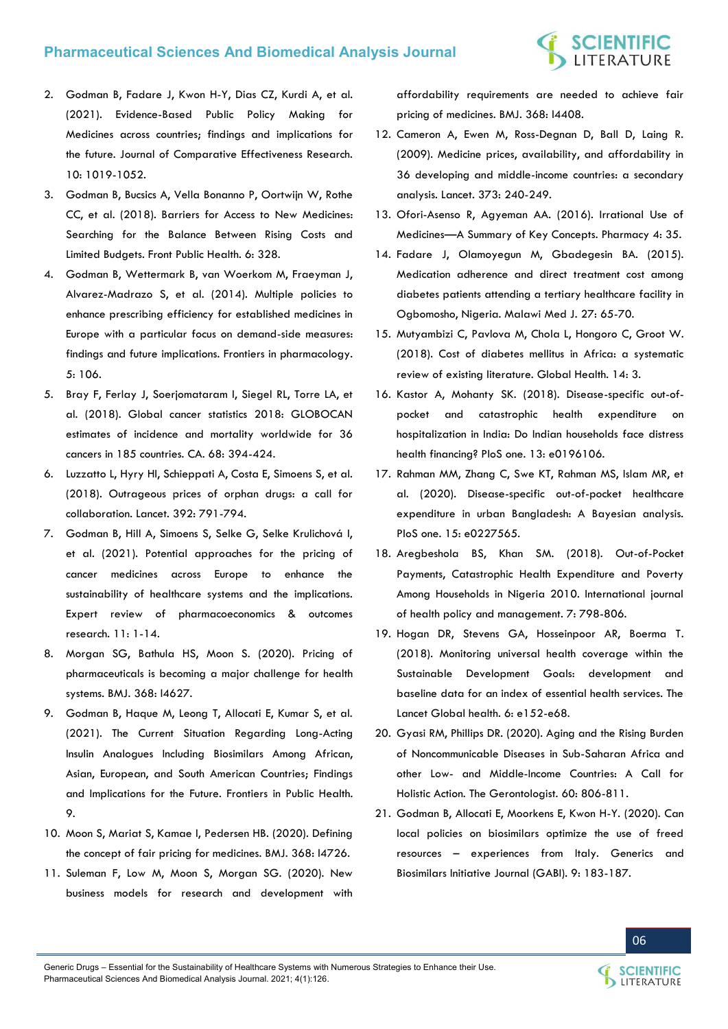# **SCIENTIFIC**<br>LITERATURE

- 2. [Godman B, Fadare J, Kwon H-Y, Dias CZ, Kurdi A, et al.](https://www.futuremedicine.com/doi/10.2217/cer-2020-0273)  [\(2021\). Evidence-Based Public Policy Making for](https://www.futuremedicine.com/doi/10.2217/cer-2020-0273)  [Medicines across countries; findings and implications for](https://www.futuremedicine.com/doi/10.2217/cer-2020-0273)  [the future. Journal of Comparative Effectiveness Research.](https://www.futuremedicine.com/doi/10.2217/cer-2020-0273)  [10: 1019-1052.](https://www.futuremedicine.com/doi/10.2217/cer-2020-0273)
- 3. [Godman B, Bucsics A, Vella Bonanno P, Oortwijn W, Rothe](https://pubmed.ncbi.nlm.nih.gov/30568938/)  [CC, et al. \(2018\). Barriers for Access to New Medicines:](https://pubmed.ncbi.nlm.nih.gov/30568938/)  [Searching for the Balance Between Rising Costs and](https://pubmed.ncbi.nlm.nih.gov/30568938/)  [Limited Budgets. Front Public Health. 6: 328.](https://pubmed.ncbi.nlm.nih.gov/30568938/)
- 4. [Godman B, Wettermark B, van Woerkom M, Fraeyman J,](https://www.ncbi.nlm.nih.gov/pmc/articles/PMC4060455/)  [Alvarez-Madrazo S, et al. \(2014\). Multiple policies to](https://www.ncbi.nlm.nih.gov/pmc/articles/PMC4060455/)  [enhance prescribing efficiency for established medicines in](https://www.ncbi.nlm.nih.gov/pmc/articles/PMC4060455/)  [Europe with a particular focus on demand-side measures:](https://www.ncbi.nlm.nih.gov/pmc/articles/PMC4060455/)  [findings and future implications. Frontiers in pharmacology.](https://www.ncbi.nlm.nih.gov/pmc/articles/PMC4060455/)  [5: 106.](https://www.ncbi.nlm.nih.gov/pmc/articles/PMC4060455/)
- 5. [Bray F, Ferlay J, Soerjomataram I, Siegel RL, Torre LA, et](https://pubmed.ncbi.nlm.nih.gov/30207593/)  [al. \(2018\). Global cancer statistics 2018: GLOBOCAN](https://pubmed.ncbi.nlm.nih.gov/30207593/)  [estimates of incidence and mortality worldwide for 36](https://pubmed.ncbi.nlm.nih.gov/30207593/)  [cancers in 185 countries. CA. 68: 394-424.](https://pubmed.ncbi.nlm.nih.gov/30207593/)
- 6. [Luzzatto L, Hyry HI, Schieppati A, Costa E, Simoens S, et al.](https://pubmed.ncbi.nlm.nih.gov/30037734/)  [\(2018\). Outrageous prices of orphan drugs: a call for](https://pubmed.ncbi.nlm.nih.gov/30037734/)  [collaboration. Lancet. 392: 791-794.](https://pubmed.ncbi.nlm.nih.gov/30037734/)
- 7. [Godman B, Hill A, Simoens S, Selke G, Selke Krulichová I,](https://pubmed.ncbi.nlm.nih.gov/33535841/)  [et al. \(2021\). Potential approaches for the pricing of](https://pubmed.ncbi.nlm.nih.gov/33535841/)  [cancer medicines across Europe to enhance the](https://pubmed.ncbi.nlm.nih.gov/33535841/)  [sustainability of healthcare systems and the implications.](https://pubmed.ncbi.nlm.nih.gov/33535841/)  [Expert review of pharmacoeconomics & outcomes](https://pubmed.ncbi.nlm.nih.gov/33535841/)  [research. 11: 1-14.](https://pubmed.ncbi.nlm.nih.gov/33535841/)
- 8. [Morgan SG, Bathula HS, Moon S. \(2020\). Pricing of](https://pubmed.ncbi.nlm.nih.gov/31932289/)  [pharmaceuticals is becoming a major challenge for health](https://pubmed.ncbi.nlm.nih.gov/31932289/)  [systems. BMJ. 368: l4627.](https://pubmed.ncbi.nlm.nih.gov/31932289/)
- 9. [Godman B, Haque M, Leong T, Allocati E, Kumar S, et al.](https://doi.org/10.3389/fpubh.2021.671961)  [\(2021\). The Current Situation Regarding Long-Acting](https://doi.org/10.3389/fpubh.2021.671961)  [Insulin Analogues Including Biosimilars Among African,](https://doi.org/10.3389/fpubh.2021.671961)  [Asian, European, and South American Countries; Findings](https://doi.org/10.3389/fpubh.2021.671961)  [and Implications for the Future. Frontiers in Public Health.](https://doi.org/10.3389/fpubh.2021.671961)   $\circ$
- 10. [Moon S, Mariat S, Kamae I, Pedersen HB. \(2020\). Defining](https://pubmed.ncbi.nlm.nih.gov/31932334/)  [the concept of fair pricing for medicines. BMJ. 368: l4726.](https://pubmed.ncbi.nlm.nih.gov/31932334/)
- 11. [Suleman F, Low M, Moon S, Morgan SG. \(2020\). New](https://doi.org/10.1136/bmj.l4408)  [business models for research and development with](https://doi.org/10.1136/bmj.l4408)

[affordability requirements are needed to achieve fair](https://doi.org/10.1136/bmj.l4408)  [pricing of medicines. BMJ. 368: l4408.](https://doi.org/10.1136/bmj.l4408) 

- 12. [Cameron A, Ewen M, Ross-Degnan D, Ball D, Laing R.](https://doi.org/10.1016/s0140-6736(08)61762-6)  [\(2009\). Medicine prices, availability, and affordability in](https://doi.org/10.1016/s0140-6736(08)61762-6)  [36 developing and middle-income countries: a secondary](https://doi.org/10.1016/s0140-6736(08)61762-6)  [analysis. Lancet. 373: 240-249.](https://doi.org/10.1016/s0140-6736(08)61762-6)
- 13. [Ofori-Asenso R, Agyeman AA. \(2016\). Irrational Use of](https://pubmed.ncbi.nlm.nih.gov/28970408/)  Medicines—[A Summary of Key Concepts. Pharmacy 4: 35.](https://pubmed.ncbi.nlm.nih.gov/28970408/)
- 14. [Fadare J, Olamoyegun M, Gbadegesin BA. \(2015\).](https://pubmed.ncbi.nlm.nih.gov/26405515/)  [Medication adherence and direct treatment cost among](https://pubmed.ncbi.nlm.nih.gov/26405515/)  [diabetes patients attending a tertiary healthcare facility in](https://pubmed.ncbi.nlm.nih.gov/26405515/)  [Ogbomosho, Nigeria. Malawi Med J. 27: 65-70.](https://pubmed.ncbi.nlm.nih.gov/26405515/)
- 15. [Mutyambizi C, Pavlova M, Chola L, Hongoro C, Groot W.](https://globalizationandhealth.biomedcentral.com/articles/10.1186/s12992-017-0318-5)  [\(2018\). Cost of diabetes mellitus in Africa: a systematic](https://globalizationandhealth.biomedcentral.com/articles/10.1186/s12992-017-0318-5)  [review of existing literature. Global Health. 14: 3.](https://globalizationandhealth.biomedcentral.com/articles/10.1186/s12992-017-0318-5)
- 16. [Kastor A, Mohanty SK. \(2018\). Disease-specific out-of](https://pubmed.ncbi.nlm.nih.gov/29746481/)[pocket and catastrophic health expenditure on](https://pubmed.ncbi.nlm.nih.gov/29746481/)  [hospitalization in India: Do Indian households face distress](https://pubmed.ncbi.nlm.nih.gov/29746481/)  [health financing? PloS one. 13: e0196106.](https://pubmed.ncbi.nlm.nih.gov/29746481/)
- 17. [Rahman MM, Zhang C, Swe KT, Rahman MS, Islam MR, et](https://pubmed.ncbi.nlm.nih.gov/31935266/)  [al. \(2020\). Disease-specific out-of-pocket healthcare](https://pubmed.ncbi.nlm.nih.gov/31935266/)  [expenditure in urban Bangladesh: A Bayesian analysis.](https://pubmed.ncbi.nlm.nih.gov/31935266/)  [PloS one. 15: e0227565.](https://pubmed.ncbi.nlm.nih.gov/31935266/)
- 18. [Aregbeshola BS, Khan SM. \(2018\). Out-of-Pocket](https://www.ncbi.nlm.nih.gov/pmc/articles/PMC6186489/)  [Payments, Catastrophic Health Expenditure and Poverty](https://www.ncbi.nlm.nih.gov/pmc/articles/PMC6186489/)  [Among Households in Nigeria 2010. International journal](https://www.ncbi.nlm.nih.gov/pmc/articles/PMC6186489/)  [of health policy and management. 7: 798-806.](https://www.ncbi.nlm.nih.gov/pmc/articles/PMC6186489/)
- 19. [Hogan DR, Stevens GA, Hosseinpoor AR, Boerma T.](https://doi.org/10.1016/s2214-109x(17)30472-2)  [\(2018\). Monitoring universal health coverage within the](https://doi.org/10.1016/s2214-109x(17)30472-2)  [Sustainable Development Goals: development and](https://doi.org/10.1016/s2214-109x(17)30472-2)  [baseline data for an index of essential health services. The](https://doi.org/10.1016/s2214-109x(17)30472-2)  [Lancet Global health. 6: e152-e68.](https://doi.org/10.1016/s2214-109x(17)30472-2)
- 20. [Gyasi RM, Phillips DR. \(2020\). Aging and the Rising Burden](https://pubmed.ncbi.nlm.nih.gov/31322656/)  [of Noncommunicable Diseases in Sub-Saharan Africa and](https://pubmed.ncbi.nlm.nih.gov/31322656/)  [other Low- and Middle-Income Countries: A Call for](https://pubmed.ncbi.nlm.nih.gov/31322656/)  [Holistic Action. The Gerontologist. 60: 806-811.](https://pubmed.ncbi.nlm.nih.gov/31322656/)
- 21. [Godman B, Allocati E, Moorkens E, Kwon H-Y. \(2020\). Can](http://gabi-journal.net/can-local-policies-on-biosimilars-optimize-the-use-of-freed-resources-experiences-from-italy.html)  [local policies on biosimilars optimize the use of freed](http://gabi-journal.net/can-local-policies-on-biosimilars-optimize-the-use-of-freed-resources-experiences-from-italy.html)  resources – [experiences from Italy. Generics and](http://gabi-journal.net/can-local-policies-on-biosimilars-optimize-the-use-of-freed-resources-experiences-from-italy.html)  [Biosimilars Initiative Journal \(GABI\). 9: 183-187.](http://gabi-journal.net/can-local-policies-on-biosimilars-optimize-the-use-of-freed-resources-experiences-from-italy.html)

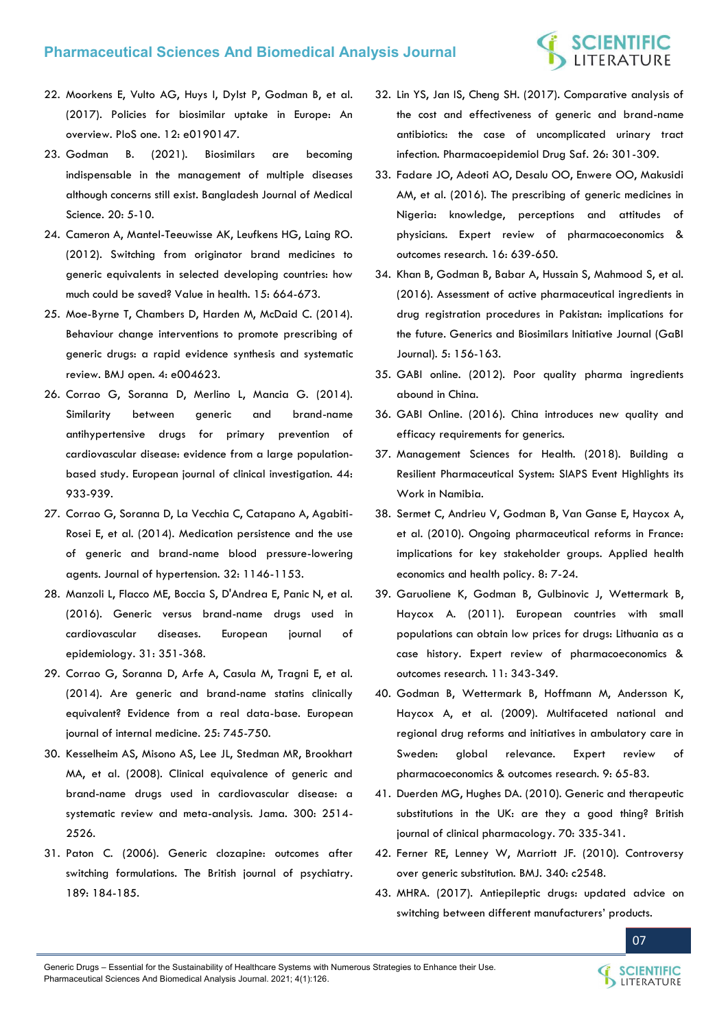

- 22. [Moorkens E, Vulto AG, Huys I, Dylst P, Godman B, et al.](https://doi.org/10.1371/journal.pone.0190147)  [\(2017\). Policies for biosimilar uptake in Europe: An](https://doi.org/10.1371/journal.pone.0190147)  [overview. PloS one. 12: e0190147.](https://doi.org/10.1371/journal.pone.0190147)
- 23. [Godman B. \(2021\). Biosimilars are becoming](https://www.banglajol.info/index.php/BJMS/article/view/50338)  [indispensable in the management of multiple diseases](https://www.banglajol.info/index.php/BJMS/article/view/50338)  [although concerns still exist. Bangladesh Journal of Medical](https://www.banglajol.info/index.php/BJMS/article/view/50338)  [Science. 20: 5-10.](https://www.banglajol.info/index.php/BJMS/article/view/50338)
- 24. [Cameron A, Mantel-Teeuwisse AK, Leufkens HG, Laing RO.](https://www.sciencedirect.com/science/article/pii/S1098301512015471)  [\(2012\). Switching from originator brand medicines to](https://www.sciencedirect.com/science/article/pii/S1098301512015471)  [generic equivalents in selected developing countries: how](https://www.sciencedirect.com/science/article/pii/S1098301512015471)  [much could be saved? Value in health. 15: 664-673.](https://www.sciencedirect.com/science/article/pii/S1098301512015471)
- 25. [Moe-Byrne T, Chambers D, Harden M, McDaid C. \(2014\).](https://pubmed.ncbi.nlm.nih.gov/24833683/)  [Behaviour change interventions to promote prescribing of](https://pubmed.ncbi.nlm.nih.gov/24833683/)  [generic drugs: a rapid evidence synthesis and systematic](https://pubmed.ncbi.nlm.nih.gov/24833683/)  [review. BMJ open. 4: e004623.](https://pubmed.ncbi.nlm.nih.gov/24833683/)
- 26. [Corrao G, Soranna D, Merlino L, Mancia G. \(2014\).](https://pubmed.ncbi.nlm.nih.gov/25132063/)  [Similarity between generic and brand-name](https://pubmed.ncbi.nlm.nih.gov/25132063/)  [antihypertensive drugs for primary prevention of](https://pubmed.ncbi.nlm.nih.gov/25132063/)  [cardiovascular disease: evidence from a large population](https://pubmed.ncbi.nlm.nih.gov/25132063/)[based study. European journal of clinical investigation. 44:](https://pubmed.ncbi.nlm.nih.gov/25132063/)  [933-939.](https://pubmed.ncbi.nlm.nih.gov/25132063/)
- 27. [Corrao G, Soranna D, La Vecchia C, Catapano A, Agabiti-](https://pubmed.ncbi.nlm.nih.gov/24569417/)[Rosei E, et al. \(2014\). Medication persistence and the use](https://pubmed.ncbi.nlm.nih.gov/24569417/)  [of generic and brand-name blood pressure-lowering](https://pubmed.ncbi.nlm.nih.gov/24569417/)  [agents. Journal of hypertension. 32: 1146-1153.](https://pubmed.ncbi.nlm.nih.gov/24569417/)
- 28. [Manzoli L, Flacco ME, Boccia S, D'Andrea E, Panic N, et al.](https://pubmed.ncbi.nlm.nih.gov/26620809/)  [\(2016\). Generic versus brand-name drugs used in](https://pubmed.ncbi.nlm.nih.gov/26620809/)  [cardiovascular diseases. European journal of](https://pubmed.ncbi.nlm.nih.gov/26620809/)  [epidemiology. 31: 351-368.](https://pubmed.ncbi.nlm.nih.gov/26620809/)
- 29. [Corrao G, Soranna D, Arfe A, Casula M, Tragni E, et al.](https://pubmed.ncbi.nlm.nih.gov/25200803/)  [\(2014\). Are generic and brand-name statins clinically](https://pubmed.ncbi.nlm.nih.gov/25200803/)  [equivalent? Evidence from a real data-base. European](https://pubmed.ncbi.nlm.nih.gov/25200803/)  [journal of internal medicine. 25: 745-750.](https://pubmed.ncbi.nlm.nih.gov/25200803/)
- 30. [Kesselheim AS, Misono AS, Lee JL, Stedman MR, Brookhart](https://pubmed.ncbi.nlm.nih.gov/19050195/)  [MA, et al. \(2008\). Clinical equivalence of generic and](https://pubmed.ncbi.nlm.nih.gov/19050195/)  [brand-name drugs used in cardiovascular disease: a](https://pubmed.ncbi.nlm.nih.gov/19050195/)  [systematic review and meta-analysis. Jama. 300: 2514-](https://pubmed.ncbi.nlm.nih.gov/19050195/) [2526.](https://pubmed.ncbi.nlm.nih.gov/19050195/)
- 31. [Paton C. \(2006\). Generic clozapine: outcomes after](https://www.cambridge.org/core/journals/the-british-journal-of-psychiatry/article/generic-clozapine-outcomes-after-switching-formulations/8502D0C6271E02699655DEB0834A7683)  [switching formulations. The British journal of psychiatry.](https://www.cambridge.org/core/journals/the-british-journal-of-psychiatry/article/generic-clozapine-outcomes-after-switching-formulations/8502D0C6271E02699655DEB0834A7683)  [189: 184-185.](https://www.cambridge.org/core/journals/the-british-journal-of-psychiatry/article/generic-clozapine-outcomes-after-switching-formulations/8502D0C6271E02699655DEB0834A7683)
- 32. [Lin YS, Jan IS, Cheng SH. \(2017\). Comparative analysis of](https://pubmed.ncbi.nlm.nih.gov/27862588/)  [the cost and effectiveness of generic and brand-name](https://pubmed.ncbi.nlm.nih.gov/27862588/)  [antibiotics: the case of uncomplicated urinary tract](https://pubmed.ncbi.nlm.nih.gov/27862588/)  [infection. Pharmacoepidemiol Drug Saf. 26: 301-309.](https://pubmed.ncbi.nlm.nih.gov/27862588/)
- 33. [Fadare JO, Adeoti AO, Desalu OO, Enwere OO, Makusidi](https://pubmed.ncbi.nlm.nih.gov/26567041/)  [AM, et al. \(2016\). The prescribing of generic medicines in](https://pubmed.ncbi.nlm.nih.gov/26567041/)  [Nigeria: knowledge, perceptions and attitudes of](https://pubmed.ncbi.nlm.nih.gov/26567041/)  [physicians. Expert review of pharmacoeconomics &](https://pubmed.ncbi.nlm.nih.gov/26567041/)  [outcomes research. 16: 639-650.](https://pubmed.ncbi.nlm.nih.gov/26567041/)
- 34. [Khan B, Godman B, Babar A, Hussain S, Mahmood S, et al.](http://gabi-journal.net/assessment-of-active-pharmaceutical-ingredients-in-drug-registration-procedures-in-pakistan-implications-for-the-future.html)  [\(2016\). Assessment of active pharmaceutical ingredients in](http://gabi-journal.net/assessment-of-active-pharmaceutical-ingredients-in-drug-registration-procedures-in-pakistan-implications-for-the-future.html)  [drug registration procedures in Pakistan: implications for](http://gabi-journal.net/assessment-of-active-pharmaceutical-ingredients-in-drug-registration-procedures-in-pakistan-implications-for-the-future.html)  [the future. Generics and Biosimilars Initiative Journal \(GaBI](http://gabi-journal.net/assessment-of-active-pharmaceutical-ingredients-in-drug-registration-procedures-in-pakistan-implications-for-the-future.html)  [Journal\). 5: 156-163.](http://gabi-journal.net/assessment-of-active-pharmaceutical-ingredients-in-drug-registration-procedures-in-pakistan-implications-for-the-future.html)
- 35. [GABI online. \(2012\). Poor quality pharma ingredients](https://gabionline.net/es/Generics/General/Poor-quality-pharma-ingredients-abound-in-China)  [abound in China.](https://gabionline.net/es/Generics/General/Poor-quality-pharma-ingredients-abound-in-China)
- 36. [GABI Online. \(2016\). China introduces new quality and](https://www.gabionline.net/Policies-Legislation/China-introduces-new-quality-and-efficacy-requirements-for-generics)  [efficacy requirements for generics.](https://www.gabionline.net/Policies-Legislation/China-introduces-new-quality-and-efficacy-requirements-for-generics)
- 37. [Management Sciences for Health. \(2018\). Building a](https://www.msh.org/news-events/stories/building-a-resilient-pharmaceutical-system-siaps-event-highlights-its-work-in-0)  [Resilient Pharmaceutical System: SIAPS Event Highlights its](https://www.msh.org/news-events/stories/building-a-resilient-pharmaceutical-system-siaps-event-highlights-its-work-in-0)  [Work in Namibia.](https://www.msh.org/news-events/stories/building-a-resilient-pharmaceutical-system-siaps-event-highlights-its-work-in-0)
- 38. [Sermet C, Andrieu V, Godman B, Van Ganse E, Haycox A,](https://pubmed.ncbi.nlm.nih.gov/20038190/)  [et al. \(2010\). Ongoing pharmaceutical reforms in France:](https://pubmed.ncbi.nlm.nih.gov/20038190/)  [implications for key stakeholder groups. Applied health](https://pubmed.ncbi.nlm.nih.gov/20038190/)  [economics and health policy. 8: 7-24.](https://pubmed.ncbi.nlm.nih.gov/20038190/)
- 39. [Garuoliene K, Godman B, Gulbinovic J, Wettermark B,](https://pubmed.ncbi.nlm.nih.gov/21671703/)  [Haycox A. \(2011\). European countries with small](https://pubmed.ncbi.nlm.nih.gov/21671703/)  [populations can obtain low prices for drugs: Lithuania as a](https://pubmed.ncbi.nlm.nih.gov/21671703/)  [case history. Expert review of pharmacoeconomics &](https://pubmed.ncbi.nlm.nih.gov/21671703/)  [outcomes research. 11: 343-349.](https://pubmed.ncbi.nlm.nih.gov/21671703/)
- 40. [Godman B, Wettermark B, Hoffmann M, Andersson K,](https://pubmed.ncbi.nlm.nih.gov/19371180/)  [Haycox A, et al. \(2009\). Multifaceted national and](https://pubmed.ncbi.nlm.nih.gov/19371180/)  [regional drug reforms and initiatives in ambulatory care in](https://pubmed.ncbi.nlm.nih.gov/19371180/)  [Sweden: global relevance. Expert review of](https://pubmed.ncbi.nlm.nih.gov/19371180/)  [pharmacoeconomics & outcomes research. 9: 65-83.](https://pubmed.ncbi.nlm.nih.gov/19371180/)
- 41. [Duerden MG, Hughes DA. \(2010\). Generic and therapeutic](https://pubmed.ncbi.nlm.nih.gov/20716231/)  [substitutions in the UK: are they a good thing? British](https://pubmed.ncbi.nlm.nih.gov/20716231/)  [journal of clinical pharmacology. 70: 335-341.](https://pubmed.ncbi.nlm.nih.gov/20716231/)
- 42. [Ferner RE, Lenney W, Marriott JF. \(2010\). Controversy](https://pubmed.ncbi.nlm.nih.gov/20516014/)  [over generic substitution. BMJ. 340: c2548.](https://pubmed.ncbi.nlm.nih.gov/20516014/)
- 43. [MHRA. \(2017\). Antiepileptic drugs: updated advice on](https://www.gov.uk/drug-safety-update/antiepileptic-drugs-updated-advice-on-switching-between-different-manufacturers-products#chm-review-and-update)  [switching between different manufacturers](https://www.gov.uk/drug-safety-update/antiepileptic-drugs-updated-advice-on-switching-between-different-manufacturers-products#chm-review-and-update)' products.

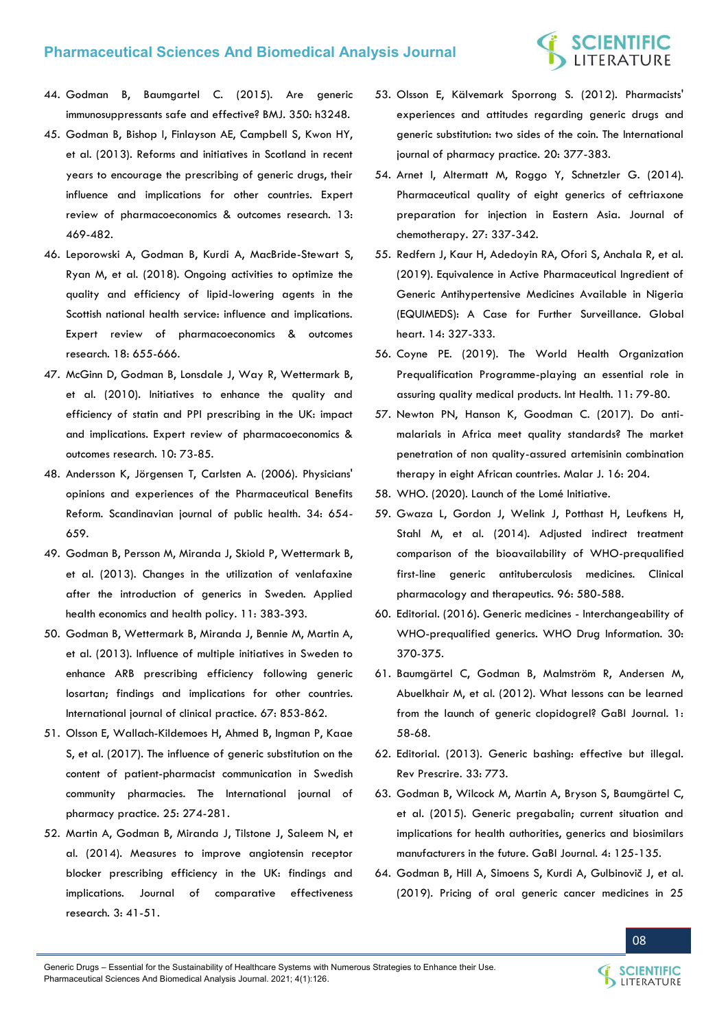

- 44. [Godman B, Baumgartel C. \(2015\). Are generic](https://www.bmj.com/content/350/bmj.h3248)  [immunosuppressants safe and effective? BMJ. 350: h3248.](https://www.bmj.com/content/350/bmj.h3248)
- 45. [Godman B, Bishop I, Finlayson AE, Campbell S, Kwon HY,](https://www.tandfonline.com/doi/abs/10.1586/14737167.2013.820956)  [et al. \(2013\). Reforms and initiatives in Scotland in recent](https://www.tandfonline.com/doi/abs/10.1586/14737167.2013.820956)  [years to encourage the prescribing of generic drugs, their](https://www.tandfonline.com/doi/abs/10.1586/14737167.2013.820956)  [influence and implications for other countries. Expert](https://www.tandfonline.com/doi/abs/10.1586/14737167.2013.820956)  [review of pharmacoeconomics & outcomes research. 13:](https://www.tandfonline.com/doi/abs/10.1586/14737167.2013.820956)  [469-482.](https://www.tandfonline.com/doi/abs/10.1586/14737167.2013.820956)
- 46. [Leporowski A, Godman B, Kurdi A, MacBride-Stewart S,](https://pubmed.ncbi.nlm.nih.gov/30014725/)  [Ryan M, et al. \(2018\). Ongoing activities to optimize the](https://pubmed.ncbi.nlm.nih.gov/30014725/)  [quality and efficiency of lipid-lowering agents in the](https://pubmed.ncbi.nlm.nih.gov/30014725/)  [Scottish national health service: influence and implications.](https://pubmed.ncbi.nlm.nih.gov/30014725/)  [Expert review of pharmacoeconomics & outcomes](https://pubmed.ncbi.nlm.nih.gov/30014725/)  [research. 18: 655-666.](https://pubmed.ncbi.nlm.nih.gov/30014725/)
- 47. [McGinn D, Godman B, Lonsdale J, Way R, Wettermark B,](https://pubmed.ncbi.nlm.nih.gov/20121565/)  [et al. \(2010\). Initiatives to enhance the quality and](https://pubmed.ncbi.nlm.nih.gov/20121565/)  [efficiency of statin and PPI prescribing in the UK: impact](https://pubmed.ncbi.nlm.nih.gov/20121565/)  [and implications. Expert review of pharmacoeconomics &](https://pubmed.ncbi.nlm.nih.gov/20121565/)  [outcomes research. 10: 73-85.](https://pubmed.ncbi.nlm.nih.gov/20121565/)
- 48. [Andersson K, Jörgensen T, Carlsten A. \(2006\). Physicians'](https://journals.sagepub.com/doi/abs/10.1080/14034940600551111)  [opinions and experiences of the Pharmaceutical Benefits](https://journals.sagepub.com/doi/abs/10.1080/14034940600551111)  [Reform. Scandinavian journal of public health. 34: 654-](https://journals.sagepub.com/doi/abs/10.1080/14034940600551111) [659.](https://journals.sagepub.com/doi/abs/10.1080/14034940600551111)
- 49. [Godman B, Persson M, Miranda J, Skiold P, Wettermark B,](https://pubmed.ncbi.nlm.nih.gov/23754677/)  [et al. \(2013\). Changes in the utilization of venlafaxine](https://pubmed.ncbi.nlm.nih.gov/23754677/)  [after the introduction of generics in Sweden. Applied](https://pubmed.ncbi.nlm.nih.gov/23754677/)  [health economics and health policy. 11: 383-393.](https://pubmed.ncbi.nlm.nih.gov/23754677/)
- 50. [Godman B, Wettermark B, Miranda J, Bennie M, Martin A,](https://onlinelibrary.wiley.com/doi/10.1111/ijcp.12130)  [et al. \(2013\). Influence of multiple initiatives in Sweden to](https://onlinelibrary.wiley.com/doi/10.1111/ijcp.12130)  [enhance ARB prescribing efficiency following generic](https://onlinelibrary.wiley.com/doi/10.1111/ijcp.12130)  [losartan; findings and implications for other countries.](https://onlinelibrary.wiley.com/doi/10.1111/ijcp.12130)  [International journal of clinical practice. 67: 853-862.](https://onlinelibrary.wiley.com/doi/10.1111/ijcp.12130)
- 51. [Olsson E, Wallach-Kildemoes H, Ahmed B, Ingman P, Kaae](https://pubmed.ncbi.nlm.nih.gov/27531756/)  [S, et al. \(2017\). The influence of generic substitution on the](https://pubmed.ncbi.nlm.nih.gov/27531756/)  [content of patient-pharmacist communication in Swedish](https://pubmed.ncbi.nlm.nih.gov/27531756/)  [community pharmacies. The International journal of](https://pubmed.ncbi.nlm.nih.gov/27531756/)  [pharmacy practice. 25: 274-281.](https://pubmed.ncbi.nlm.nih.gov/27531756/)
- 52. [Martin A, Godman B, Miranda J, Tilstone J, Saleem N, et](https://pubmed.ncbi.nlm.nih.gov/24345256/)  [al. \(2014\). Measures to improve angiotensin receptor](https://pubmed.ncbi.nlm.nih.gov/24345256/)  [blocker prescribing efficiency in the UK: findings and](https://pubmed.ncbi.nlm.nih.gov/24345256/)  [implications. Journal of comparative effectiveness](https://pubmed.ncbi.nlm.nih.gov/24345256/)  [research. 3: 41-51.](https://pubmed.ncbi.nlm.nih.gov/24345256/)
- 53. [Olsson E, Kälvemark Sporrong S. \(2012\). Pharmacists'](https://pubmed.ncbi.nlm.nih.gov/23134096/)  [experiences and attitudes regarding generic drugs and](https://pubmed.ncbi.nlm.nih.gov/23134096/)  [generic substitution: two sides of the coin. The International](https://pubmed.ncbi.nlm.nih.gov/23134096/)  [journal of pharmacy practice. 20: 377-383.](https://pubmed.ncbi.nlm.nih.gov/23134096/)
- 54. [Arnet I, Altermatt M, Roggo Y, Schnetzler G. \(2014\).](https://www.tandfonline.com/doi/abs/10.1179/1973947814Y.0000000208)  [Pharmaceutical quality of eight generics of ceftriaxone](https://www.tandfonline.com/doi/abs/10.1179/1973947814Y.0000000208)  [preparation for injection in Eastern Asia. Journal of](https://www.tandfonline.com/doi/abs/10.1179/1973947814Y.0000000208)  [chemotherapy. 27: 337-342.](https://www.tandfonline.com/doi/abs/10.1179/1973947814Y.0000000208)
- 55. [Redfern J, Kaur H, Adedoyin RA, Ofori S, Anchala R, et al.](https://pubmed.ncbi.nlm.nih.gov/31451241/)  [\(2019\). Equivalence in Active Pharmaceutical Ingredient of](https://pubmed.ncbi.nlm.nih.gov/31451241/)  [Generic Antihypertensive Medicines Available in Nigeria](https://pubmed.ncbi.nlm.nih.gov/31451241/)  [\(EQUIMEDS\): A Case for Further Surveillance. Global](https://pubmed.ncbi.nlm.nih.gov/31451241/)  [heart. 14: 327-333.](https://pubmed.ncbi.nlm.nih.gov/31451241/)
- 56. [Coyne PE. \(2019\). The World Health Organization](https://pubmed.ncbi.nlm.nih.gov/30551179/)  [Prequalification Programme-playing an essential role in](https://pubmed.ncbi.nlm.nih.gov/30551179/)  [assuring quality medical products. Int Health. 11: 79-80.](https://pubmed.ncbi.nlm.nih.gov/30551179/)
- 57. [Newton PN, Hanson K, Goodman C. \(2017\). Do anti](https://malariajournal.biomedcentral.com/articles/10.1186/s12936-017-1818-8)[malarials in Africa meet quality standards? The market](https://malariajournal.biomedcentral.com/articles/10.1186/s12936-017-1818-8)  [penetration of non quality-assured artemisinin combination](https://malariajournal.biomedcentral.com/articles/10.1186/s12936-017-1818-8)  [therapy in eight African countries. Malar J. 16: 204.](https://malariajournal.biomedcentral.com/articles/10.1186/s12936-017-1818-8)
- 58. [WHO. \(2020\). Launch of the Lomé Initiative.](https://www.who.int/dg/speeches/detail/launch-of-the-lom%C3%A9-initiative.)
- 59. [Gwaza L, Gordon J, Welink J, Potthast H, Leufkens H,](https://ascpt.onlinelibrary.wiley.com/doi/abs/10.1038/clpt.2014.144)  [Stahl M, et al. \(2014\). Adjusted indirect treatment](https://ascpt.onlinelibrary.wiley.com/doi/abs/10.1038/clpt.2014.144)  [comparison of the bioavailability of WHO-prequalified](https://ascpt.onlinelibrary.wiley.com/doi/abs/10.1038/clpt.2014.144)  [first-line generic antituberculosis medicines. Clinical](https://ascpt.onlinelibrary.wiley.com/doi/abs/10.1038/clpt.2014.144)  [pharmacology and therapeutics. 96: 580-588.](https://ascpt.onlinelibrary.wiley.com/doi/abs/10.1038/clpt.2014.144)
- 60. [Editorial. \(2016\). Generic medicines Interchangeability of](https://apps.who.int/iris/handle/10665/331014)  WHO-prequalified generics. WHO Drug Information. 30: [370-375.](https://apps.who.int/iris/handle/10665/331014)
- 61. [Baumgärtel C, Godman B, Malmström R, Andersen M,](http://gabi-journal.net/what-lessons-can-be-learnt-from-the-launch-of-generic-clopidogrel.html)  [Abuelkhair M, et al. \(2012\). What lessons can be learned](http://gabi-journal.net/what-lessons-can-be-learnt-from-the-launch-of-generic-clopidogrel.html)  [from the launch of generic clopidogrel? GaBI Journal. 1:](http://gabi-journal.net/what-lessons-can-be-learnt-from-the-launch-of-generic-clopidogrel.html)  [58-68.](http://gabi-journal.net/what-lessons-can-be-learnt-from-the-launch-of-generic-clopidogrel.html)
- 62. [Editorial. \(2013\). Generic bashing: effective but illegal.](https://english.prescrire.org/en/ED4083EAA9ACC52BCA4E1AE0D82DB4F6/Download.aspx)  [Rev Prescrire. 33: 773.](https://english.prescrire.org/en/ED4083EAA9ACC52BCA4E1AE0D82DB4F6/Download.aspx)
- 63. [Godman B, Wilcock M, Martin A, Bryson S, Baumgärtel C,](http://gabi-journal.net/generic-pregabalin-current-situation-and-implications-for-health-authorities-generics-and-biosimilars-manufacturers-in-the-future.html)  [et al. \(2015\). Generic pregabalin; current situation and](http://gabi-journal.net/generic-pregabalin-current-situation-and-implications-for-health-authorities-generics-and-biosimilars-manufacturers-in-the-future.html)  [implications for health authorities, generics and biosimilars](http://gabi-journal.net/generic-pregabalin-current-situation-and-implications-for-health-authorities-generics-and-biosimilars-manufacturers-in-the-future.html)  [manufacturers in the future. GaBI Journal. 4: 125-135.](http://gabi-journal.net/generic-pregabalin-current-situation-and-implications-for-health-authorities-generics-and-biosimilars-manufacturers-in-the-future.html)
- 64. Godman B, Hill A, S[imoens S, Kurdi A, Gulbinovič J, et al.](http://gabi-journal.net/pricing-of-oral-generic-cancer-medicines-in-25-european-countries-findings-and-implications.html)  [\(2019\). Pricing of oral generic cancer medicines in 25](http://gabi-journal.net/pricing-of-oral-generic-cancer-medicines-in-25-european-countries-findings-and-implications.html)

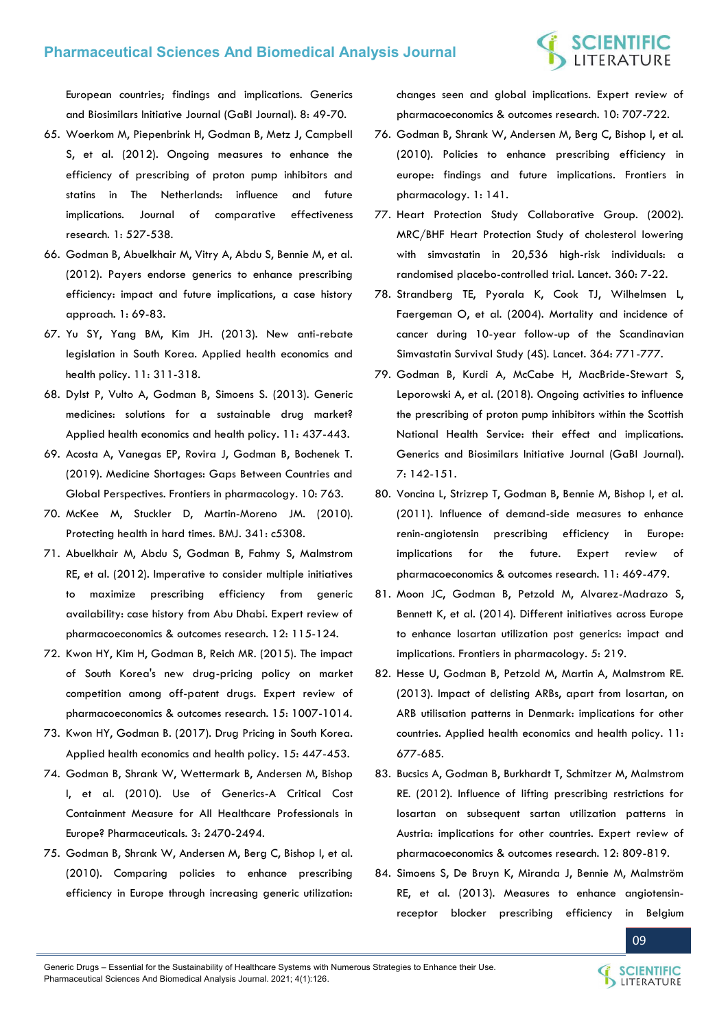# **SCIENTIFIC**<br>LITERATURE

[European countries; findings and implications. Generics](http://gabi-journal.net/pricing-of-oral-generic-cancer-medicines-in-25-european-countries-findings-and-implications.html)  [and Biosimilars Initiative Journal \(GaBI Journal\). 8: 49-70.](http://gabi-journal.net/pricing-of-oral-generic-cancer-medicines-in-25-european-countries-findings-and-implications.html)

- 65. [Woerkom M, Piepenbrink H, Godman B, Metz J, Campbell](https://pubmed.ncbi.nlm.nih.gov/24236472/)  [S, et al. \(2012\). Ongoing measures to enhance the](https://pubmed.ncbi.nlm.nih.gov/24236472/)  [efficiency of prescribing of proton pump inhibitors and](https://pubmed.ncbi.nlm.nih.gov/24236472/)  [statins in The Netherlands: influence and future](https://pubmed.ncbi.nlm.nih.gov/24236472/)  [implications. Journal of comparative effectiveness](https://pubmed.ncbi.nlm.nih.gov/24236472/)  [research. 1: 527-538.](https://pubmed.ncbi.nlm.nih.gov/24236472/)
- 66. [Godman B, Abuelkhair M, Vitry A, Abdu S, Bennie M, et al.](http://gabi-journal.net/payers-endorse-generics-to-enhance-prescribing-efficiency-impact-and-future-implications-a-case-history-approach.html)  [\(2012\). Payers endorse generics to enhance prescribing](http://gabi-journal.net/payers-endorse-generics-to-enhance-prescribing-efficiency-impact-and-future-implications-a-case-history-approach.html)  [efficiency: impact and future implications, a case history](http://gabi-journal.net/payers-endorse-generics-to-enhance-prescribing-efficiency-impact-and-future-implications-a-case-history-approach.html)  [approach. 1: 69-83.](http://gabi-journal.net/payers-endorse-generics-to-enhance-prescribing-efficiency-impact-and-future-implications-a-case-history-approach.html)
- 67. [Yu SY, Yang BM, Kim JH. \(2013\). New anti-rebate](https://pubmed.ncbi.nlm.nih.gov/23645520/)  [legislation in South Korea. Applied health economics and](https://pubmed.ncbi.nlm.nih.gov/23645520/)  [health policy. 11: 311-318.](https://pubmed.ncbi.nlm.nih.gov/23645520/)
- 68. [Dylst P, Vulto A, Godman B, Simoens S. \(2013\). Generic](https://europepmc.org/article/med/23846572)  [medicines: solutions for a sustainable drug market?](https://europepmc.org/article/med/23846572)  [Applied health economics and health policy. 11: 437-443.](https://europepmc.org/article/med/23846572)
- 69. [Acosta A, Vanegas EP, Rovira J, Godman B, Bochenek T.](https://www.frontiersin.org/articles/10.3389/fphar.2019.00763/full)  [\(2019\). Medicine Shortages: Gaps Between Countries and](https://www.frontiersin.org/articles/10.3389/fphar.2019.00763/full)  [Global Perspectives. Frontiers in pharmacology. 10: 763.](https://www.frontiersin.org/articles/10.3389/fphar.2019.00763/full)
- 70. [McKee M, Stuckler D, Martin-Moreno JM. \(2010\).](https://pubmed.ncbi.nlm.nih.gov/20880907/)  [Protecting health in hard times. BMJ. 341: c5308.](https://pubmed.ncbi.nlm.nih.gov/20880907/)
- 71. [Abuelkhair M, Abdu S, Godman B, Fahmy S, Malmstrom](https://pubmed.ncbi.nlm.nih.gov/22280201/)  [RE, et al. \(2012\). Imperative to consider multiple initiatives](https://pubmed.ncbi.nlm.nih.gov/22280201/)  [to maximize prescribing efficiency from generic](https://pubmed.ncbi.nlm.nih.gov/22280201/)  [availability: case history from Abu Dhabi. Expert review of](https://pubmed.ncbi.nlm.nih.gov/22280201/)  [pharmacoeconomics & outcomes research. 12: 115-124.](https://pubmed.ncbi.nlm.nih.gov/22280201/)
- 72. [Kwon HY, Kim H, Godman B, Reich MR. \(2015\). The impact](https://pubmed.ncbi.nlm.nih.gov/26394767/)  [of South Korea's new drug-pricing policy on market](https://pubmed.ncbi.nlm.nih.gov/26394767/)  [competition among off-patent drugs. Expert review of](https://pubmed.ncbi.nlm.nih.gov/26394767/)  [pharmacoeconomics & outcomes research. 15: 1007-1014.](https://pubmed.ncbi.nlm.nih.gov/26394767/)
- 73. [Kwon HY, Godman B. \(2017\). Drug Pricing in South Korea.](https://pubmed.ncbi.nlm.nih.gov/28138932/)  [Applied health economics and health policy. 15: 447-453.](https://pubmed.ncbi.nlm.nih.gov/28138932/)
- 74. [Godman B, Shrank W, Wettermark B, Andersen M, Bishop](https://pubmed.ncbi.nlm.nih.gov/27713363/)  [I, et al. \(2010\). Use of Generics-A Critical Cost](https://pubmed.ncbi.nlm.nih.gov/27713363/)  [Containment Measure for All Healthcare Professionals in](https://pubmed.ncbi.nlm.nih.gov/27713363/)  [Europe? Pharmaceuticals. 3: 2470-2494.](https://pubmed.ncbi.nlm.nih.gov/27713363/)
- 75. [Godman B, Shrank W, Andersen M, Berg C, Bishop I, et al.](https://pubmed.ncbi.nlm.nih.gov/21155704/)  [\(2010\). Comparing policies to enhance prescribing](https://pubmed.ncbi.nlm.nih.gov/21155704/)  [efficiency in Europe through increasing generic utilization:](https://pubmed.ncbi.nlm.nih.gov/21155704/)

[changes seen and global implications. Expert review of](https://pubmed.ncbi.nlm.nih.gov/21155704/)  [pharmacoeconomics & outcomes research. 10: 707-722.](https://pubmed.ncbi.nlm.nih.gov/21155704/)

- 76. [Godman B, Shrank W, Andersen M, Berg C, Bishop I, et al.](https://www.frontiersin.org/articles/10.3389/fphar.2010.00141/full)  [\(2010\). Policies to enhance prescribing efficiency in](https://www.frontiersin.org/articles/10.3389/fphar.2010.00141/full)  [europe: findings and future implications. Frontiers in](https://www.frontiersin.org/articles/10.3389/fphar.2010.00141/full)  [pharmacology. 1: 141.](https://www.frontiersin.org/articles/10.3389/fphar.2010.00141/full)
- 77. [Heart Protection Study Collaborative Group. \(2002\).](https://pubmed.ncbi.nlm.nih.gov/12114036/)  [MRC/BHF Heart Protection Study of cholesterol lowering](https://pubmed.ncbi.nlm.nih.gov/12114036/)  [with simvastatin in 20,536 high-risk individuals: a](https://pubmed.ncbi.nlm.nih.gov/12114036/)  [randomised placebo-controlled trial. Lancet. 360: 7-22.](https://pubmed.ncbi.nlm.nih.gov/12114036/)
- 78. [Strandberg TE, Pyorala K, Cook TJ, Wilhelmsen L,](https://pubmed.ncbi.nlm.nih.gov/15337403/)  [Faergeman O, et al. \(2004\). Mortality and incidence of](https://pubmed.ncbi.nlm.nih.gov/15337403/)  [cancer during 10-year follow-up of the Scandinavian](https://pubmed.ncbi.nlm.nih.gov/15337403/)  [Simvastatin Survival Study \(4S\). Lancet. 364: 771-777.](https://pubmed.ncbi.nlm.nih.gov/15337403/)
- 79. [Godman B, Kurdi A, McCabe H, MacBride-Stewart S,](http://gabi-journal.net/ongoing-activities-to-influence-the-prescribing-of-proton-pump-inhibitors-within-the-scottish-national-health-service-their-effect-and-implications.html)  [Leporowski A, et al. \(2018\). Ongoing activities to influence](http://gabi-journal.net/ongoing-activities-to-influence-the-prescribing-of-proton-pump-inhibitors-within-the-scottish-national-health-service-their-effect-and-implications.html)  [the prescribing of proton pump inhibitors within the Scottish](http://gabi-journal.net/ongoing-activities-to-influence-the-prescribing-of-proton-pump-inhibitors-within-the-scottish-national-health-service-their-effect-and-implications.html)  [National Health Service: their effect and implications.](http://gabi-journal.net/ongoing-activities-to-influence-the-prescribing-of-proton-pump-inhibitors-within-the-scottish-national-health-service-their-effect-and-implications.html)  [Generics and Biosimilars Initiative Journal \(GaBI Journal\).](http://gabi-journal.net/ongoing-activities-to-influence-the-prescribing-of-proton-pump-inhibitors-within-the-scottish-national-health-service-their-effect-and-implications.html)  [7: 142-151.](http://gabi-journal.net/ongoing-activities-to-influence-the-prescribing-of-proton-pump-inhibitors-within-the-scottish-national-health-service-their-effect-and-implications.html)
- 80. [Voncina L, Strizrep T, Godman B, Bennie M, Bishop I, et al.](https://www.tandfonline.com/doi/abs/10.1586/erp.11.42)  [\(2011\). Influence of demand-side measures to enhance](https://www.tandfonline.com/doi/abs/10.1586/erp.11.42)  [renin-angiotensin prescribing efficiency in Europe:](https://www.tandfonline.com/doi/abs/10.1586/erp.11.42)  [implications for the future. Expert review of](https://www.tandfonline.com/doi/abs/10.1586/erp.11.42)  [pharmacoeconomics & outcomes research. 11: 469-479.](https://www.tandfonline.com/doi/abs/10.1586/erp.11.42)
- 81. [Moon JC, Godman B, Petzold M, Alvarez-Madrazo S,](https://www.frontiersin.org/articles/10.3389/fphar.2014.00219/full)  [Bennett K, et al. \(2014\). Different initiatives across Europe](https://www.frontiersin.org/articles/10.3389/fphar.2014.00219/full)  [to enhance losartan utilization post generics: impact and](https://www.frontiersin.org/articles/10.3389/fphar.2014.00219/full)  [implications. Frontiers in pharmacology. 5: 219.](https://www.frontiersin.org/articles/10.3389/fphar.2014.00219/full)
- 82. [Hesse U, Godman B, Petzold M, Martin A, Malmstrom RE.](https://pubmed.ncbi.nlm.nih.gov/24105097/)  [\(2013\). Impact of delisting ARBs, apart from losartan, on](https://pubmed.ncbi.nlm.nih.gov/24105097/)  [ARB utilisation patterns in Denmark: implications for other](https://pubmed.ncbi.nlm.nih.gov/24105097/)  [countries. Applied health economics and health policy. 11:](https://pubmed.ncbi.nlm.nih.gov/24105097/)  [677-685.](https://pubmed.ncbi.nlm.nih.gov/24105097/)
- 83. [Bucsics A, Godman B, Burkhardt T, Schmitzer M, Malmstrom](https://www.tandfonline.com/doi/abs/10.1586/erp.12.71)  [RE. \(2012\). Influence of lifting prescribing restrictions for](https://www.tandfonline.com/doi/abs/10.1586/erp.12.71)  [losartan on subsequent sartan utilization patterns in](https://www.tandfonline.com/doi/abs/10.1586/erp.12.71)  [Austria: implications for other countries. Expert review of](https://www.tandfonline.com/doi/abs/10.1586/erp.12.71)  [pharmacoeconomics & outcomes research. 12: 809-819.](https://www.tandfonline.com/doi/abs/10.1586/erp.12.71)
- 84. [Simoens S, De Bruyn K, Miranda J, Bennie M, Malmström](https://doi.org/10.1111/jphs.12024)  [RE, et al. \(2013\). Measures to enhance angiotensin](https://doi.org/10.1111/jphs.12024)[receptor blocker prescribing efficiency in Belgium](https://doi.org/10.1111/jphs.12024)

Generic Drugs – Essential for the Sustainability of Healthcare Systems with Numerous Strategies to Enhance their Use. Pharmaceutical Sciences And Biomedical Analysis Journal. 2021; 4(1):126.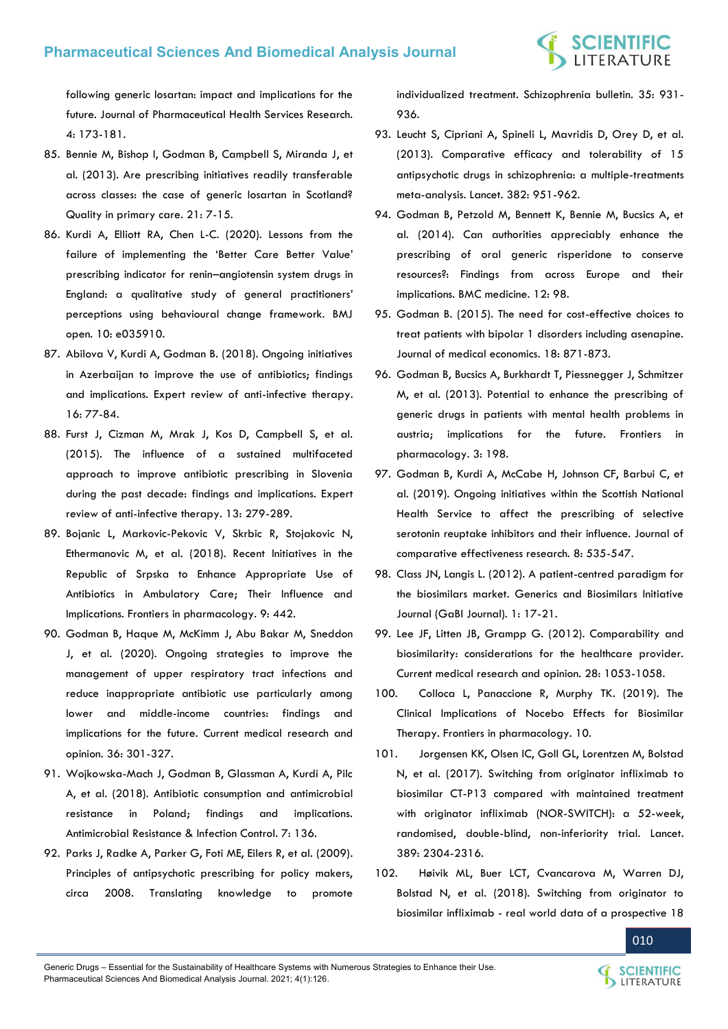[following generic losartan: impact and implications for the](https://doi.org/10.1111/jphs.12024)  [future. Journal of Pharmaceutical Health Services Research.](https://doi.org/10.1111/jphs.12024)  [4: 173-181.](https://doi.org/10.1111/jphs.12024)

- 85. [Bennie M, Bishop I, Godman B, Campbell S, Miranda J, et](https://pubmed.ncbi.nlm.nih.gov/23735629/)  [al. \(2013\). Are prescribing initiatives readily transferable](https://pubmed.ncbi.nlm.nih.gov/23735629/)  [across classes: the case of generic losartan in Scotland?](https://pubmed.ncbi.nlm.nih.gov/23735629/)  [Quality in primary care. 21: 7-15.](https://pubmed.ncbi.nlm.nih.gov/23735629/)
- 86. [Kurdi A, Elliott RA, Chen L-C. \(2020\). Lessons from the](https://pubmed.ncbi.nlm.nih.gov/32580986/)  [failure of implementing the](https://pubmed.ncbi.nlm.nih.gov/32580986/) 'Better Care Better Value' [prescribing indicator for renin](https://pubmed.ncbi.nlm.nih.gov/32580986/)–angiotensin system drugs in [England: a qualitative study of general practitioners](https://pubmed.ncbi.nlm.nih.gov/32580986/)' [perceptions using behavioural change framework. BMJ](https://pubmed.ncbi.nlm.nih.gov/32580986/)  [open. 10: e035910.](https://pubmed.ncbi.nlm.nih.gov/32580986/)
- 87. [Abilova V, Kurdi A, Godman B. \(2018\). Ongoing initiatives](https://www.tandfonline.com/doi/abs/10.1080/14787210.2018.1417835)  [in Azerbaijan to improve the use of antibiotics; findings](https://www.tandfonline.com/doi/abs/10.1080/14787210.2018.1417835)  [and implications. Expert review of anti-infective therapy.](https://www.tandfonline.com/doi/abs/10.1080/14787210.2018.1417835)  [16: 77-84.](https://www.tandfonline.com/doi/abs/10.1080/14787210.2018.1417835)
- 88. [Furst J, Cizman M, Mrak J, Kos D, Campbell S, et al.](https://pubmed.ncbi.nlm.nih.gov/25495147/)  [\(2015\). The influence of a sustained multifaceted](https://pubmed.ncbi.nlm.nih.gov/25495147/)  [approach to improve antibiotic prescribing in Slovenia](https://pubmed.ncbi.nlm.nih.gov/25495147/)  [during the past decade: findings and implications. Expert](https://pubmed.ncbi.nlm.nih.gov/25495147/)  [review of anti-infective therapy. 13: 279-289.](https://pubmed.ncbi.nlm.nih.gov/25495147/)
- 89. [Bojanic L, Markovic-Pekovic V, Skrbic R, Stojakovic N,](https://www.frontiersin.org/articles/10.3389/fphar.2018.00442/full)  [Ethermanovic M, et al. \(2018\). Recent Initiatives in the](https://www.frontiersin.org/articles/10.3389/fphar.2018.00442/full)  [Republic of Srpska to Enhance Appropriate Use of](https://www.frontiersin.org/articles/10.3389/fphar.2018.00442/full)  [Antibiotics in Ambulatory Care; Their Influence and](https://www.frontiersin.org/articles/10.3389/fphar.2018.00442/full)  [Implications. Frontiers in pharmacology. 9: 442.](https://www.frontiersin.org/articles/10.3389/fphar.2018.00442/full)
- 90. [Godman B, Haque M, McKimm J, Abu Bakar M, Sneddon](https://pubmed.ncbi.nlm.nih.gov/31794332/)  [J, et al. \(2020\). Ongoing strategies to improve the](https://pubmed.ncbi.nlm.nih.gov/31794332/)  [management of upper respiratory tract infections and](https://pubmed.ncbi.nlm.nih.gov/31794332/)  [reduce inappropriate antibiotic use particularly among](https://pubmed.ncbi.nlm.nih.gov/31794332/)  [lower and middle-income countries: findings and](https://pubmed.ncbi.nlm.nih.gov/31794332/)  [implications for the future. Current medical research and](https://pubmed.ncbi.nlm.nih.gov/31794332/)  [opinion. 36: 301-327.](https://pubmed.ncbi.nlm.nih.gov/31794332/)
- 91. [Wojkowska-Mach J, Godman B, Glassman A, Kurdi A, Pilc](https://aricjournal.biomedcentral.com/articles/10.1186/s13756-018-0428-8)  [A, et al. \(2018\). Antibiotic consumption and antimicrobial](https://aricjournal.biomedcentral.com/articles/10.1186/s13756-018-0428-8)  [resistance in Poland; findings and implications.](https://aricjournal.biomedcentral.com/articles/10.1186/s13756-018-0428-8)  [Antimicrobial Resistance & Infection Control. 7: 136.](https://aricjournal.biomedcentral.com/articles/10.1186/s13756-018-0428-8)
- 92. [Parks J, Radke A, Parker G, Foti ME, Eilers R, et al. \(2009\).](https://academic.oup.com/schizophreniabulletin/article/35/5/931/1907346)  [Principles of antipsychotic prescribing for policy makers,](https://academic.oup.com/schizophreniabulletin/article/35/5/931/1907346)  [circa 2008. Translating knowledge to promote](https://academic.oup.com/schizophreniabulletin/article/35/5/931/1907346)

[individualized treatment. Schizophrenia bulletin. 35: 931-](https://academic.oup.com/schizophreniabulletin/article/35/5/931/1907346) [936.](https://academic.oup.com/schizophreniabulletin/article/35/5/931/1907346)

- 93. [Leucht S, Cipriani A, Spineli L, Mavridis D, Orey D, et al.](https://pubmed.ncbi.nlm.nih.gov/23810019/)  [\(2013\). Comparative efficacy and tolerability of 15](https://pubmed.ncbi.nlm.nih.gov/23810019/)  [antipsychotic drugs in schizophrenia: a multiple-treatments](https://pubmed.ncbi.nlm.nih.gov/23810019/)  [meta-analysis. Lancet. 382: 951-962.](https://pubmed.ncbi.nlm.nih.gov/23810019/)
- 94. [Godman B, Petzold M, Bennett K, Bennie M, Bucsics A, et](https://bmcmedicine.biomedcentral.com/articles/10.1186/1741-7015-12-98)  [al. \(2014\). Can authorities appreciably enhance the](https://bmcmedicine.biomedcentral.com/articles/10.1186/1741-7015-12-98)  [prescribing of oral generic risperidone to conserve](https://bmcmedicine.biomedcentral.com/articles/10.1186/1741-7015-12-98)  [resources?: Findings from across Europe and their](https://bmcmedicine.biomedcentral.com/articles/10.1186/1741-7015-12-98)  [implications. BMC medicine. 12: 98.](https://bmcmedicine.biomedcentral.com/articles/10.1186/1741-7015-12-98)
- 95. [Godman B. \(2015\). The need for cost-effective choices to](https://www.tandfonline.com/doi/full/10.3111/13696998.2015.1073736)  [treat patients with bipolar 1 disorders including asenapine.](https://www.tandfonline.com/doi/full/10.3111/13696998.2015.1073736)  [Journal of medical economics. 18: 871-873.](https://www.tandfonline.com/doi/full/10.3111/13696998.2015.1073736)
- 96. [Godman B, Bucsics A, Burkhardt T, Piessnegger J, Schmitzer](https://www.frontiersin.org/articles/10.3389/fphar.2012.00198/full)  [M, et al. \(2013\). Potential to enhance the prescribing of](https://www.frontiersin.org/articles/10.3389/fphar.2012.00198/full)  [generic drugs in patients with mental health problems in](https://www.frontiersin.org/articles/10.3389/fphar.2012.00198/full)  [austria; implications for the future. Frontiers in](https://www.frontiersin.org/articles/10.3389/fphar.2012.00198/full)  [pharmacology. 3: 198.](https://www.frontiersin.org/articles/10.3389/fphar.2012.00198/full)
- 97. [Godman B, Kurdi A, McCabe H, Johnson CF, Barbui C, et](https://pubmed.ncbi.nlm.nih.gov/31023070/)  [al. \(2019\). Ongoing initiatives within the Scottish National](https://pubmed.ncbi.nlm.nih.gov/31023070/)  [Health Service to affect the prescribing of selective](https://pubmed.ncbi.nlm.nih.gov/31023070/)  [serotonin reuptake inhibitors and their influence. Journal of](https://pubmed.ncbi.nlm.nih.gov/31023070/)  [comparative effectiveness research. 8: 535-547.](https://pubmed.ncbi.nlm.nih.gov/31023070/)
- 98. [Class JN, Langis L. \(2012\). A patient-centred paradigm for](http://gabi-journal.net/a-patient-centred-paradigm-for-the-biosimilars-market.html)  [the biosimilars market. Generics and Biosimilars Initiative](http://gabi-journal.net/a-patient-centred-paradigm-for-the-biosimilars-market.html)  [Journal \(GaBI Journal\). 1: 17-21.](http://gabi-journal.net/a-patient-centred-paradigm-for-the-biosimilars-market.html)
- 99. [Lee JF, Litten JB, Grampp G. \(2012\). Comparability and](https://pubmed.ncbi.nlm.nih.gov/22519391/)  [biosimilarity: considerations for the healthcare provider.](https://pubmed.ncbi.nlm.nih.gov/22519391/)  [Current medical research and opinion. 28: 1053-1058.](https://pubmed.ncbi.nlm.nih.gov/22519391/)
- 100. [Colloca L, Panaccione R, Murphy TK. \(2019\). The](https://www.frontiersin.org/articles/10.3389/fphar.2019.01372/full)  [Clinical Implications of Nocebo Effects for Biosimilar](https://www.frontiersin.org/articles/10.3389/fphar.2019.01372/full)  [Therapy. Frontiers in pharmacology. 10.](https://www.frontiersin.org/articles/10.3389/fphar.2019.01372/full)
- 101. [Jorgensen KK, Olsen IC, Goll GL, Lorentzen M, Bolstad](https://pubmed.ncbi.nlm.nih.gov/28502609/)  [N, et al. \(2017\). Switching from originator infliximab to](https://pubmed.ncbi.nlm.nih.gov/28502609/)  [biosimilar CT-P13 compared with maintained treatment](https://pubmed.ncbi.nlm.nih.gov/28502609/)  [with originator infliximab \(NOR-SWITCH\): a 52-week,](https://pubmed.ncbi.nlm.nih.gov/28502609/)  [randomised, double-blind, non-inferiority trial. Lancet.](https://pubmed.ncbi.nlm.nih.gov/28502609/)  [389: 2304-2316.](https://pubmed.ncbi.nlm.nih.gov/28502609/)
- 102. [Høivik ML, Buer LCT, Cvancarova M, Warren DJ,](https://pubmed.ncbi.nlm.nih.gov/29852793/)  [Bolstad N, et al. \(2018\). Switching from originator to](https://pubmed.ncbi.nlm.nih.gov/29852793/)  [biosimilar infliximab - real world data of a prospective 18](https://pubmed.ncbi.nlm.nih.gov/29852793/)

Generic Drugs – Essential for the Sustainability of Healthcare Systems with Numerous Strategies to Enhance their Use. Pharmaceutical Sciences And Biomedical Analysis Journal. 2021; 4(1):126.